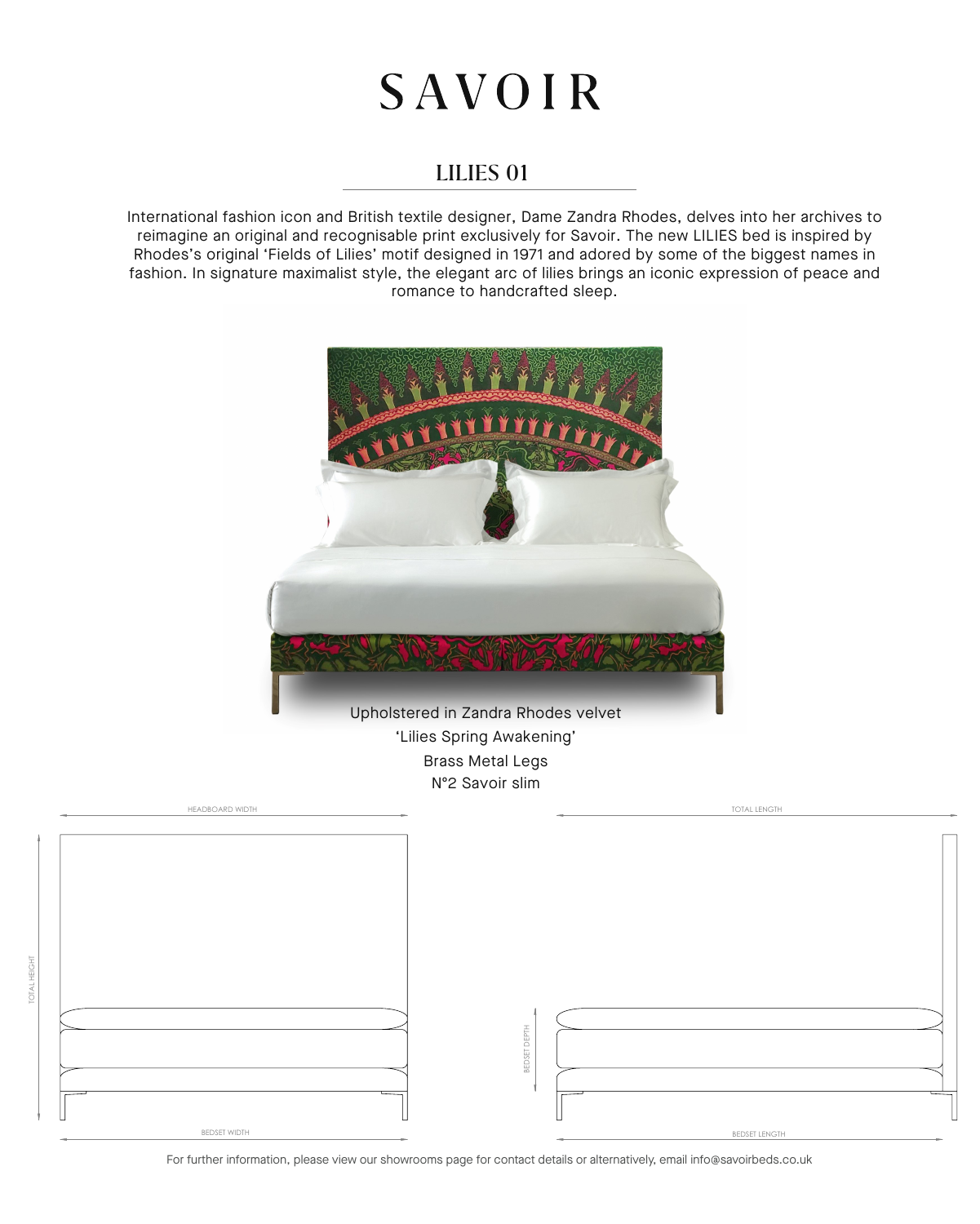## **SAVOIR**

## LILIES 01

International fashion icon and British textile designer, Dame Zandra Rhodes, delves into her archives to reimagine an original and recognisable print exclusively for Savoir. The new LILIES bed is inspired by Rhodes's original 'Fields of Lilies' motif designed in 1971 and adored by some of the biggest names in fashion. In signature maximalist style, the elegant arc of lilies brings an iconic expression of peace and romance to handcrafted sleep.



For further information, please view our showrooms page for contact details or alternatively, email info@savoirbeds.co.uk

TOTAL HEIGHT

OTAL HEIGHT